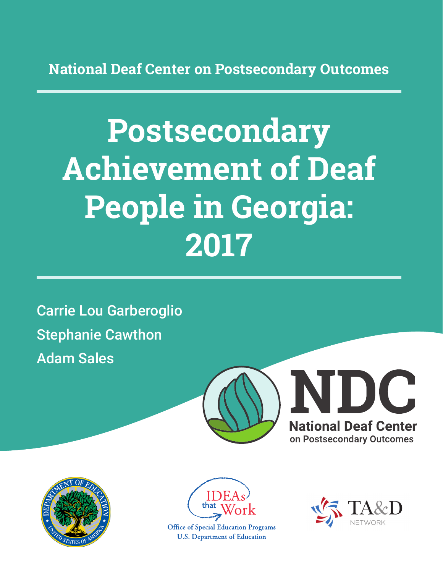**National Deaf Center on Postsecondary Outcomes**

# **Postsecondary Achievement of Deaf People in Georgia: 2017**

Carrie Lou Garberoglio Stephanie Cawthon Adam Sales







**Office of Special Education Programs U.S. Department of Education** 

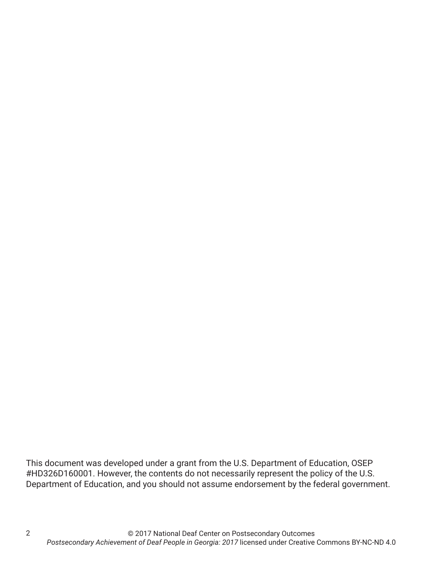This document was developed under a grant from the U.S. Department of Education, OSEP #HD326D160001. However, the contents do not necessarily represent the policy of the U.S. Department of Education, and you should not assume endorsement by the federal government.

2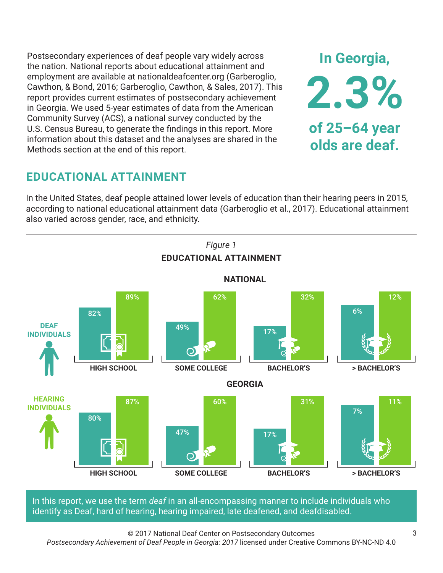Postsecondary experiences of deaf people vary widely across the nation. National reports about educational attainment and employment are available at nationaldeafcenter.org (Garberoglio, Cawthon, & Bond, 2016; Garberoglio, Cawthon, & Sales, 2017). This report provides current estimates of postsecondary achievement in Georgia. We used 5-year estimates of data from the American Community Survey (ACS), a national survey conducted by the U.S. Census Bureau, to generate the findings in this report. More information about this dataset and the analyses are shared in the Methods section at the end of this report.

## **EDUCATIONAL ATTAINMENT**

In the United States, deaf people attained lower levels of education than their hearing peers in 2015, according to national educational attainment data (Garberoglio et al., 2017). Educational attainment also varied across gender, race, and ethnicity.



In this report, we use the term *deaf* in an all-encompassing manner to include individuals who identify as Deaf, hard of hearing, hearing impaired, late deafened, and deafdisabled.

© 2017 National Deaf Center on Postsecondary Outcomes *Postsecondary Achievement of Deaf People in Georgia: 2017* licensed under Creative Commons BY-NC-ND 4.0

**In Georgia,**

**2.3%**

**of 25–64 year**

**olds are deaf.**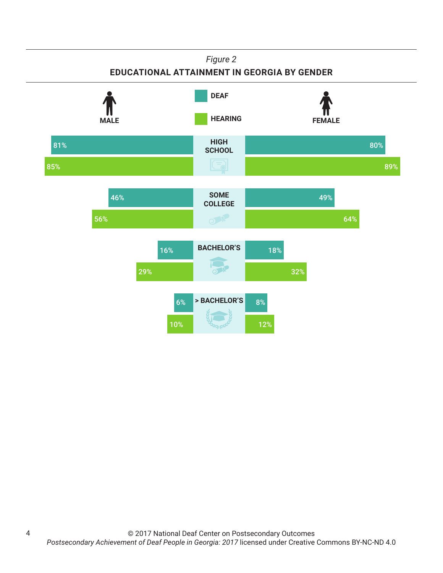#### *Figure 2*

#### **EDUCATIONAL ATTAINMENT IN GEORGIA BY GENDER**



4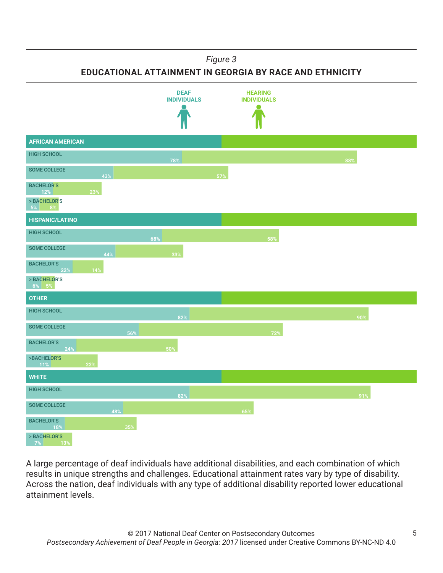#### *Figure 3*

**EDUCATIONAL ATTAINMENT IN GEORGIA BY RACE AND ETHNICITY**



A large percentage of deaf individuals have additional disabilities, and each combination of which results in unique strengths and challenges. Educational attainment rates vary by type of disability. Across the nation, deaf individuals with any type of additional disability reported lower educational attainment levels.

5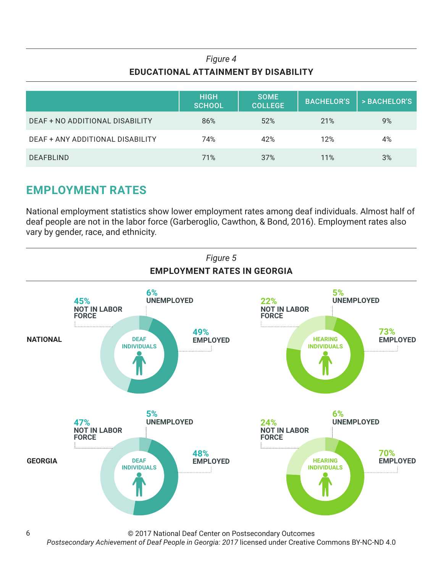## *Figure 4* **EDUCATIONAL ATTAINMENT BY DISABILITY**

|                                  | <b>HIGH</b><br><b>SCHOOL</b> | <b>SOME</b><br><b>COLLEGE</b> | <b>BACHELOR'S</b> | > BACHELOR'S |
|----------------------------------|------------------------------|-------------------------------|-------------------|--------------|
| DEAF + NO ADDITIONAL DISABILITY  | 86%                          | 52%                           | 21%               | 9%           |
| DEAF + ANY ADDITIONAL DISABILITY | 74%                          | 42%                           | 12%               | 4%           |
| <b>DEAFBLIND</b>                 | 71%                          | 37%                           | 11%               | 3%           |

## **EMPLOYMENT RATES**

National employment statistics show lower employment rates among deaf individuals. Almost half of deaf people are not in the labor force (Garberoglio, Cawthon, & Bond, 2016). Employment rates also vary by gender, race, and ethnicity.



© 2017 National Deaf Center on Postsecondary Outcomes

*Postsecondary Achievement of Deaf People in Georgia: 2017* licensed under Creative Commons BY-NC-ND 4.0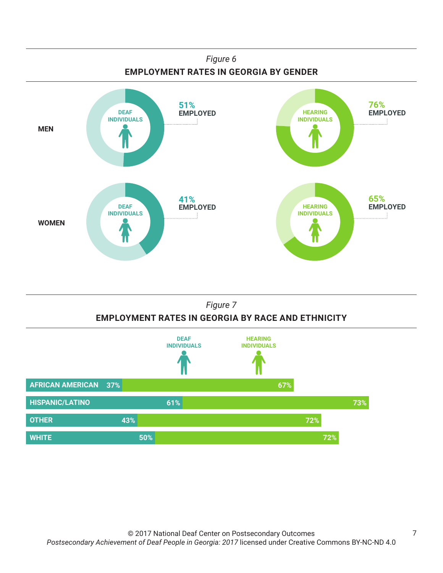



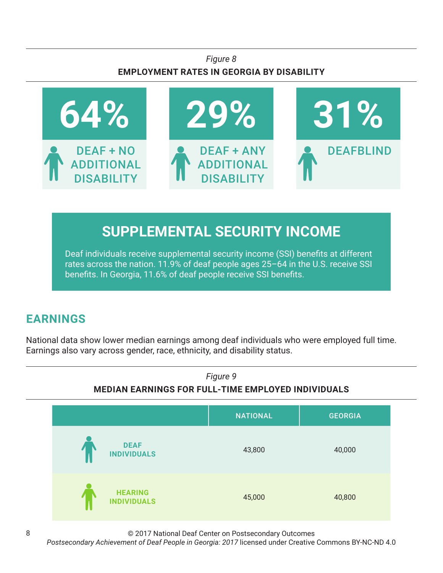### *Figure 8* **EMPLOYMENT RATES IN GEORGIA BY DISABILITY**



# **SUPPLEMENTAL SECURITY INCOME**

Deaf individuals receive supplemental security income (SSI) benefits at different rates across the nation. 11.9% of deaf people ages 25–64 in the U.S. receive SSI benefits. In Georgia, 11.6% of deaf people receive SSI benefits.

## **EARNINGS**

National data show lower median earnings among deaf individuals who were employed full time. Earnings also vary across gender, race, ethnicity, and disability status.



© 2017 National Deaf Center on Postsecondary Outcomes

*Postsecondary Achievement of Deaf People in Georgia: 2017* licensed under Creative Commons BY-NC-ND 4.0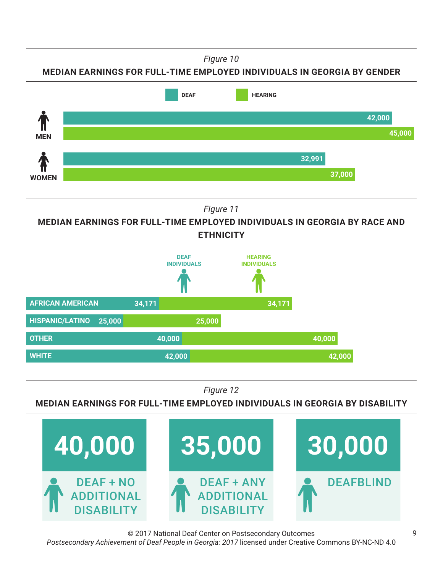*Figure 10*

**MEDIAN EARNINGS FOR FULL-TIME EMPLOYED INDIVIDUALS IN GEORGIA BY GENDER**



*Figure 11*

**MEDIAN EARNINGS FOR FULL-TIME EMPLOYED INDIVIDUALS IN GEORGIA BY RACE AND ETHNICITY**



*Figure 12*

#### **MEDIAN EARNINGS FOR FULL-TIME EMPLOYED INDIVIDUALS IN GEORGIA BY DISABILITY**



© 2017 National Deaf Center on Postsecondary Outcomes *Postsecondary Achievement of Deaf People in Georgia: 2017* licensed under Creative Commons BY-NC-ND 4.0